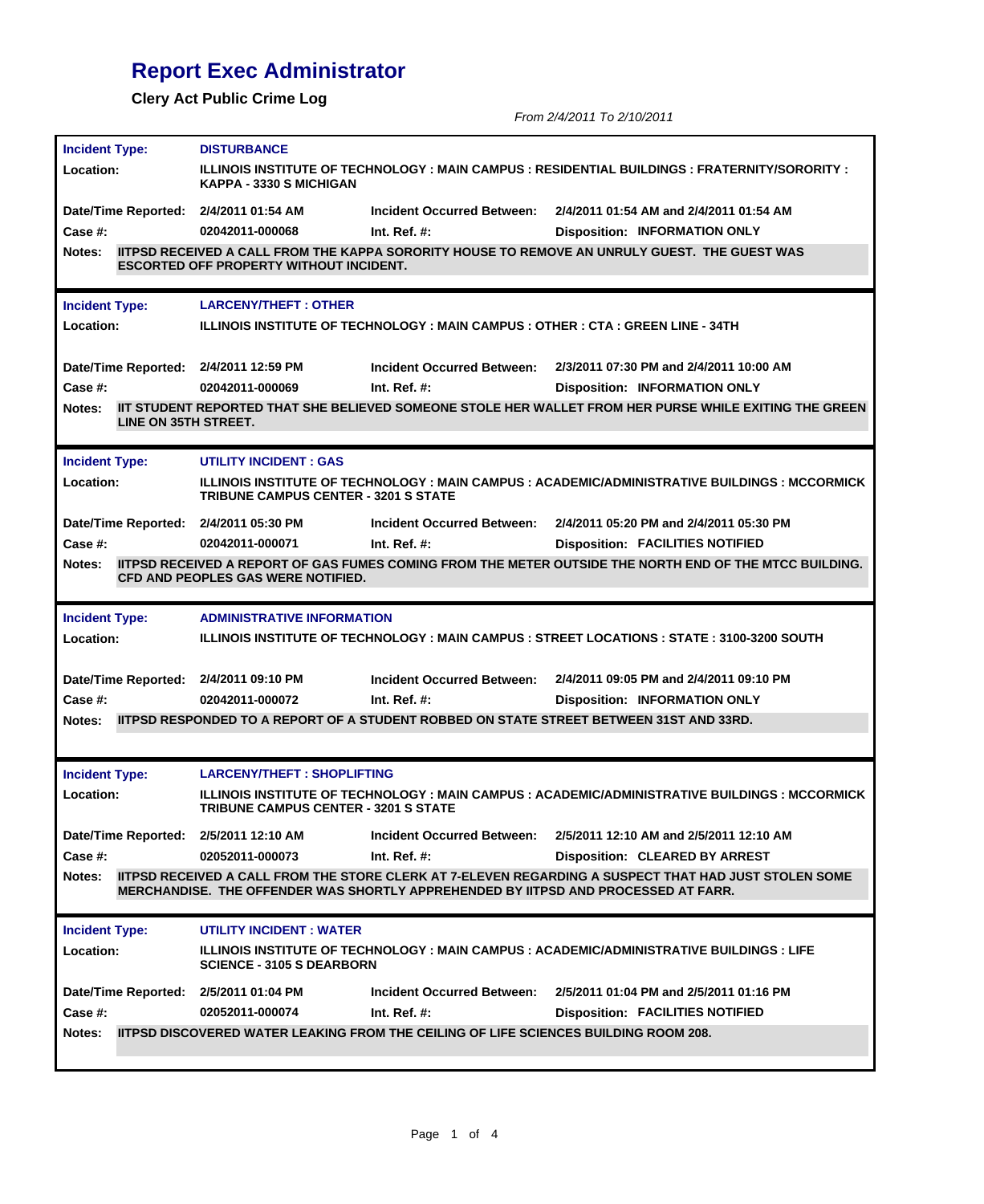## **Report Exec Administrator**

**Clery Act Public Crime Log**

*From 2/4/2011 To 2/10/2011*

| <b>Incident Type:</b>                 | <b>DISTURBANCE</b>                                                                                                               |                                   |                                                                                                                |  |  |
|---------------------------------------|----------------------------------------------------------------------------------------------------------------------------------|-----------------------------------|----------------------------------------------------------------------------------------------------------------|--|--|
| Location:                             | ILLINOIS INSTITUTE OF TECHNOLOGY : MAIN CAMPUS : RESIDENTIAL BUILDINGS : FRATERNITY/SORORITY :<br><b>KAPPA - 3330 S MICHIGAN</b> |                                   |                                                                                                                |  |  |
| Date/Time Reported: 2/4/2011 01:54 AM |                                                                                                                                  | <b>Incident Occurred Between:</b> | 2/4/2011 01:54 AM and 2/4/2011 01:54 AM                                                                        |  |  |
| Case #:                               | 02042011-000068                                                                                                                  | Int. Ref. $#$ :                   | <b>Disposition: INFORMATION ONLY</b>                                                                           |  |  |
| <b>Notes:</b>                         | <b>ESCORTED OFF PROPERTY WITHOUT INCIDENT.</b>                                                                                   |                                   | IITPSD RECEIVED A CALL FROM THE KAPPA SORORITY HOUSE TO REMOVE AN UNRULY GUEST. THE GUEST WAS                  |  |  |
| <b>Incident Type:</b>                 | <b>LARCENY/THEFT: OTHER</b>                                                                                                      |                                   |                                                                                                                |  |  |
| Location:                             |                                                                                                                                  |                                   | ILLINOIS INSTITUTE OF TECHNOLOGY : MAIN CAMPUS : OTHER : CTA : GREEN LINE - 34TH                               |  |  |
| Date/Time Reported: 2/4/2011 12:59 PM |                                                                                                                                  | Incident Occurred Between:        | 2/3/2011 07:30 PM and 2/4/2011 10:00 AM                                                                        |  |  |
| Case  #:                              | 02042011-000069                                                                                                                  | Int. Ref. $#$ :                   | <b>Disposition: INFORMATION ONLY</b>                                                                           |  |  |
| Notes:<br>LINE ON 35TH STREET.        |                                                                                                                                  |                                   | IIT STUDENT REPORTED THAT SHE BELIEVED SOMEONE STOLE HER WALLET FROM HER PURSE WHILE EXITING THE GREEN         |  |  |
| <b>Incident Type:</b>                 | <b>UTILITY INCIDENT: GAS</b>                                                                                                     |                                   |                                                                                                                |  |  |
| Location:                             | <b>TRIBUNE CAMPUS CENTER - 3201 S STATE</b>                                                                                      |                                   | ILLINOIS INSTITUTE OF TECHNOLOGY : MAIN CAMPUS : ACADEMIC/ADMINISTRATIVE BUILDINGS : MCCORMICK                 |  |  |
| Date/Time Reported: 2/4/2011 05:30 PM |                                                                                                                                  | <b>Incident Occurred Between:</b> | 2/4/2011 05:20 PM and 2/4/2011 05:30 PM                                                                        |  |  |
| Case #:                               | 02042011-000071                                                                                                                  | Int. Ref. $#$ :                   | <b>Disposition: FACILITIES NOTIFIED</b>                                                                        |  |  |
| Notes:                                | <b>CFD AND PEOPLES GAS WERE NOTIFIED.</b>                                                                                        |                                   | <b>IITPSD RECEIVED A REPORT OF GAS FUMES COMING FROM THE METER OUTSIDE THE NORTH END OF THE MTCC BUILDING.</b> |  |  |
| <b>Incident Type:</b>                 | <b>ADMINISTRATIVE INFORMATION</b>                                                                                                |                                   |                                                                                                                |  |  |
| Location:                             |                                                                                                                                  |                                   | ILLINOIS INSTITUTE OF TECHNOLOGY : MAIN CAMPUS : STREET LOCATIONS : STATE : 3100-3200 SOUTH                    |  |  |
| Date/Time Reported: 2/4/2011 09:10 PM |                                                                                                                                  | <b>Incident Occurred Between:</b> | 2/4/2011 09:05 PM and 2/4/2011 09:10 PM                                                                        |  |  |
| Case #:                               | 02042011-000072                                                                                                                  | Int. Ref. $#$ :                   | <b>Disposition: INFORMATION ONLY</b>                                                                           |  |  |
| Notes:                                |                                                                                                                                  |                                   | IITPSD RESPONDED TO A REPORT OF A STUDENT ROBBED ON STATE STREET BETWEEN 31ST AND 33RD.                        |  |  |
| <b>Incident Type:</b>                 | <b>LARCENY/THEFT: SHOPLIFTING</b>                                                                                                |                                   |                                                                                                                |  |  |
| Location:                             | <b>TRIBUNE CAMPUS CENTER - 3201 S STATE</b>                                                                                      |                                   | ILLINOIS INSTITUTE OF TECHNOLOGY : MAIN CAMPUS : ACADEMIC/ADMINISTRATIVE BUILDINGS : MCCORMICK                 |  |  |
| Date/Time Reported: 2/5/2011 12:10 AM |                                                                                                                                  | Incident Occurred Between:        | 2/5/2011 12:10 AM and 2/5/2011 12:10 AM                                                                        |  |  |
| Case #:                               | 02052011-000073                                                                                                                  | Int. Ref. $#$ :                   | <b>Disposition: CLEARED BY ARREST</b>                                                                          |  |  |
| Notes:                                |                                                                                                                                  |                                   | IITPSD RECEIVED A CALL FROM THE STORE CLERK AT 7-ELEVEN REGARDING A SUSPECT THAT HAD JUST STOLEN SOME          |  |  |
|                                       |                                                                                                                                  |                                   | MERCHANDISE. THE OFFENDER WAS SHORTLY APPREHENDED BY IITPSD AND PROCESSED AT FARR.                             |  |  |
| <b>Incident Type:</b>                 | <b>UTILITY INCIDENT: WATER</b>                                                                                                   |                                   |                                                                                                                |  |  |
| Location:                             | <b>SCIENCE - 3105 S DEARBORN</b>                                                                                                 |                                   | ILLINOIS INSTITUTE OF TECHNOLOGY : MAIN CAMPUS : ACADEMIC/ADMINISTRATIVE BUILDINGS : LIFE                      |  |  |
| Date/Time Reported: 2/5/2011 01:04 PM |                                                                                                                                  | <b>Incident Occurred Between:</b> | 2/5/2011 01:04 PM and 2/5/2011 01:16 PM                                                                        |  |  |
| Case #:                               | 02052011-000074                                                                                                                  | Int. Ref. $#$ :                   | <b>Disposition: FACILITIES NOTIFIED</b>                                                                        |  |  |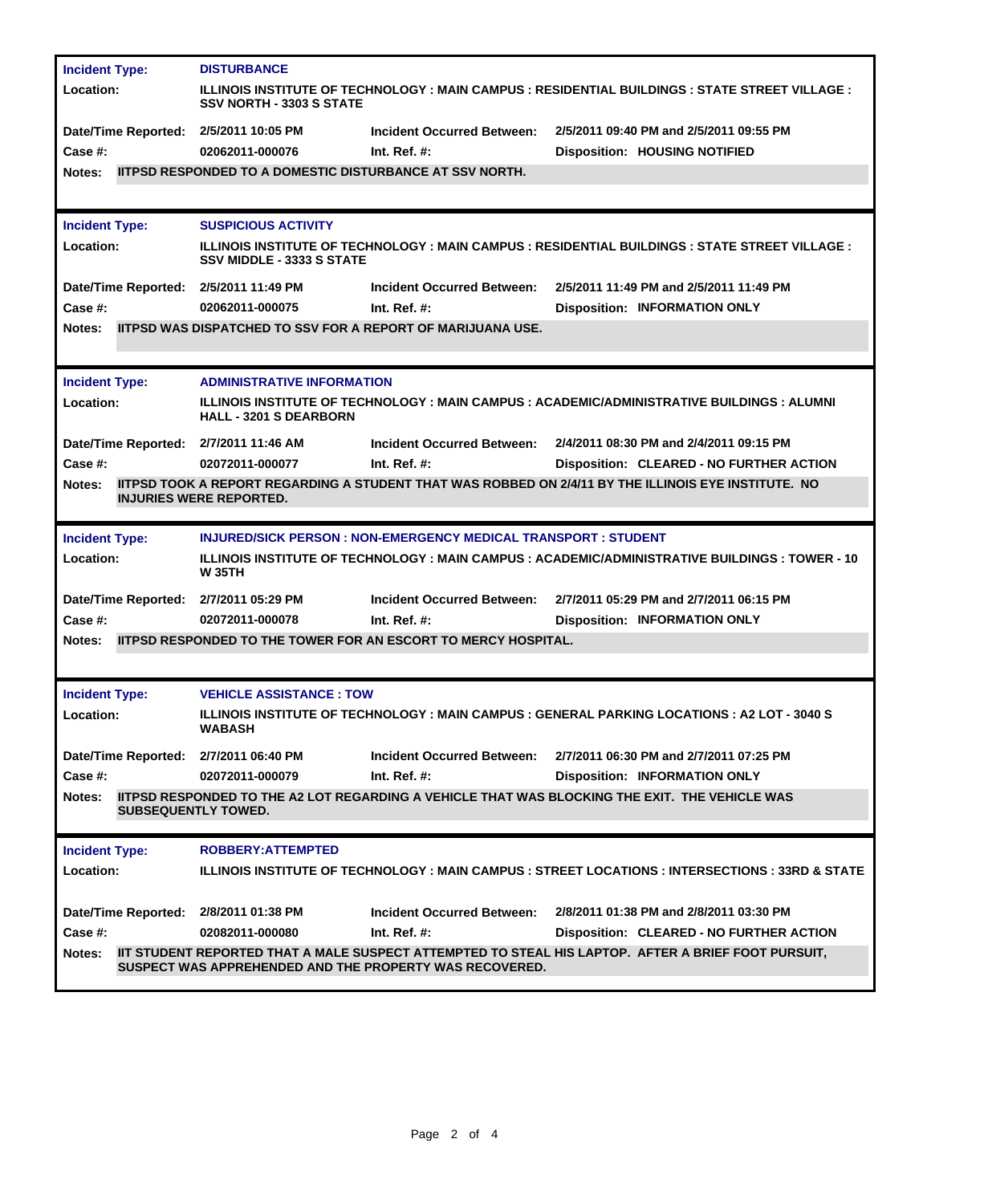| <b>Incident Type:</b>                                                                                                                            | <b>DISTURBANCE</b>                                                                                                                         |                                                                      |                                                                                                         |  |  |
|--------------------------------------------------------------------------------------------------------------------------------------------------|--------------------------------------------------------------------------------------------------------------------------------------------|----------------------------------------------------------------------|---------------------------------------------------------------------------------------------------------|--|--|
| <b>Location:</b>                                                                                                                                 | <b>ILLINOIS INSTITUTE OF TECHNOLOGY : MAIN CAMPUS : RESIDENTIAL BUILDINGS : STATE STREET VILLAGE :</b><br><b>SSV NORTH - 3303 S STATE</b>  |                                                                      |                                                                                                         |  |  |
| Date/Time Reported: 2/5/2011 10:05 PM                                                                                                            |                                                                                                                                            | <b>Incident Occurred Between:</b>                                    | 2/5/2011 09:40 PM and 2/5/2011 09:55 PM                                                                 |  |  |
| Case #:                                                                                                                                          | 02062011-000076                                                                                                                            | Int. Ref. #:                                                         | <b>Disposition: HOUSING NOTIFIED</b>                                                                    |  |  |
| Notes:                                                                                                                                           | <b>IITPSD RESPONDED TO A DOMESTIC DISTURBANCE AT SSV NORTH.</b>                                                                            |                                                                      |                                                                                                         |  |  |
|                                                                                                                                                  |                                                                                                                                            |                                                                      |                                                                                                         |  |  |
| <b>Incident Type:</b>                                                                                                                            | <b>SUSPICIOUS ACTIVITY</b>                                                                                                                 |                                                                      |                                                                                                         |  |  |
| <b>Location:</b>                                                                                                                                 | <b>ILLINOIS INSTITUTE OF TECHNOLOGY : MAIN CAMPUS : RESIDENTIAL BUILDINGS : STATE STREET VILLAGE :</b><br><b>SSV MIDDLE - 3333 S STATE</b> |                                                                      |                                                                                                         |  |  |
| Date/Time Reported: 2/5/2011 11:49 PM                                                                                                            |                                                                                                                                            | <b>Incident Occurred Between:</b>                                    | 2/5/2011 11:49 PM and 2/5/2011 11:49 PM                                                                 |  |  |
| Case #:                                                                                                                                          | 02062011-000075                                                                                                                            | Int. Ref. $#$ :                                                      | <b>Disposition: INFORMATION ONLY</b>                                                                    |  |  |
| Notes:                                                                                                                                           |                                                                                                                                            | <b>IITPSD WAS DISPATCHED TO SSV FOR A REPORT OF MARIJUANA USE.</b>   |                                                                                                         |  |  |
| <b>Incident Type:</b>                                                                                                                            | <b>ADMINISTRATIVE INFORMATION</b>                                                                                                          |                                                                      |                                                                                                         |  |  |
| Location:                                                                                                                                        | <u> ILLINOIS INSTITUTE OF TECHNOLOGY : MAIN CAMPUS : ACADEMIC/ADMINISTRATIVE BUILDINGS : ALUMNI</u><br><b>HALL - 3201 S DEARBORN</b>       |                                                                      |                                                                                                         |  |  |
| Date/Time Reported: 2/7/2011 11:46 AM                                                                                                            |                                                                                                                                            | <b>Incident Occurred Between:</b>                                    | 2/4/2011 08:30 PM and 2/4/2011 09:15 PM                                                                 |  |  |
| <b>Case #:</b>                                                                                                                                   | 02072011-000077                                                                                                                            | Int. Ref. $#$ :                                                      | <b>Disposition: CLEARED - NO FURTHER ACTION</b>                                                         |  |  |
| IITPSD TOOK A REPORT REGARDING A STUDENT THAT WAS ROBBED ON 2/4/11 BY THE ILLINOIS EYE INSTITUTE. NO<br>Notes:<br><b>INJURIES WERE REPORTED.</b> |                                                                                                                                            |                                                                      |                                                                                                         |  |  |
|                                                                                                                                                  |                                                                                                                                            |                                                                      |                                                                                                         |  |  |
| <b>Incident Type:</b>                                                                                                                            |                                                                                                                                            | <b>INJURED/SICK PERSON: NON-EMERGENCY MEDICAL TRANSPORT: STUDENT</b> |                                                                                                         |  |  |
| <b>Location:</b>                                                                                                                                 | <b>W 35TH</b>                                                                                                                              |                                                                      | <u> ILLINOIS INSTITUTE OF TECHNOLOGY : MAIN CAMPUS : ACADEMIC/ADMINISTRATIVE BUILDINGS : TOWER - 10</u> |  |  |
| Date/Time Reported: 2/7/2011 05:29 PM                                                                                                            |                                                                                                                                            | <b>Incident Occurred Between:</b>                                    | 2/7/2011 05:29 PM and 2/7/2011 06:15 PM                                                                 |  |  |
| <b>Case #:</b>                                                                                                                                   | 02072011-000078                                                                                                                            | Int. Ref. $#$ :                                                      | <b>Disposition: INFORMATION ONLY</b>                                                                    |  |  |
| Notes:                                                                                                                                           |                                                                                                                                            | IITPSD RESPONDED TO THE TOWER FOR AN ESCORT TO MERCY HOSPITAL.       |                                                                                                         |  |  |
|                                                                                                                                                  |                                                                                                                                            |                                                                      |                                                                                                         |  |  |
| <b>Incident Type:</b>                                                                                                                            | <b>VEHICLE ASSISTANCE: TOW</b>                                                                                                             |                                                                      |                                                                                                         |  |  |
| <b>Location:</b>                                                                                                                                 | <b>WABASH</b>                                                                                                                              |                                                                      | <b>ILLINOIS INSTITUTE OF TECHNOLOGY : MAIN CAMPUS : GENERAL PARKING LOCATIONS : A2 LOT - 3040 S</b>     |  |  |
| Date/Time Reported: 2/7/2011 06:40 PM                                                                                                            |                                                                                                                                            | <b>Incident Occurred Between:</b>                                    | 2/7/2011 06:30 PM and 2/7/2011 07:25 PM                                                                 |  |  |
| Case #:                                                                                                                                          | 02072011-000079                                                                                                                            | Int. Ref. $#$ :                                                      | <b>Disposition: INFORMATION ONLY</b>                                                                    |  |  |
| <b>Notes:</b>                                                                                                                                    | <b>SUBSEQUENTLY TOWED.</b>                                                                                                                 |                                                                      | <b>IITPSD RESPONDED TO THE A2 LOT REGARDING A VEHICLE THAT WAS BLOCKING THE EXIT. THE VEHICLE WAS</b>   |  |  |
| <b>Incident Type:</b>                                                                                                                            | ROBBERY: ATTEMPTED                                                                                                                         |                                                                      |                                                                                                         |  |  |
| <b>Location:</b>                                                                                                                                 |                                                                                                                                            |                                                                      | ILLINOIS INSTITUTE OF TECHNOLOGY : MAIN CAMPUS : STREET LOCATIONS : INTERSECTIONS : 33RD & STATE        |  |  |
| Date/Time Reported: 2/8/2011 01:38 PM                                                                                                            |                                                                                                                                            | <b>Incident Occurred Between:</b>                                    | 2/8/2011 01:38 PM and 2/8/2011 03:30 PM                                                                 |  |  |
| <b>Case #:</b>                                                                                                                                   | 02082011-000080                                                                                                                            | Int. Ref. $#$ :                                                      | Disposition: CLEARED - NO FURTHER ACTION                                                                |  |  |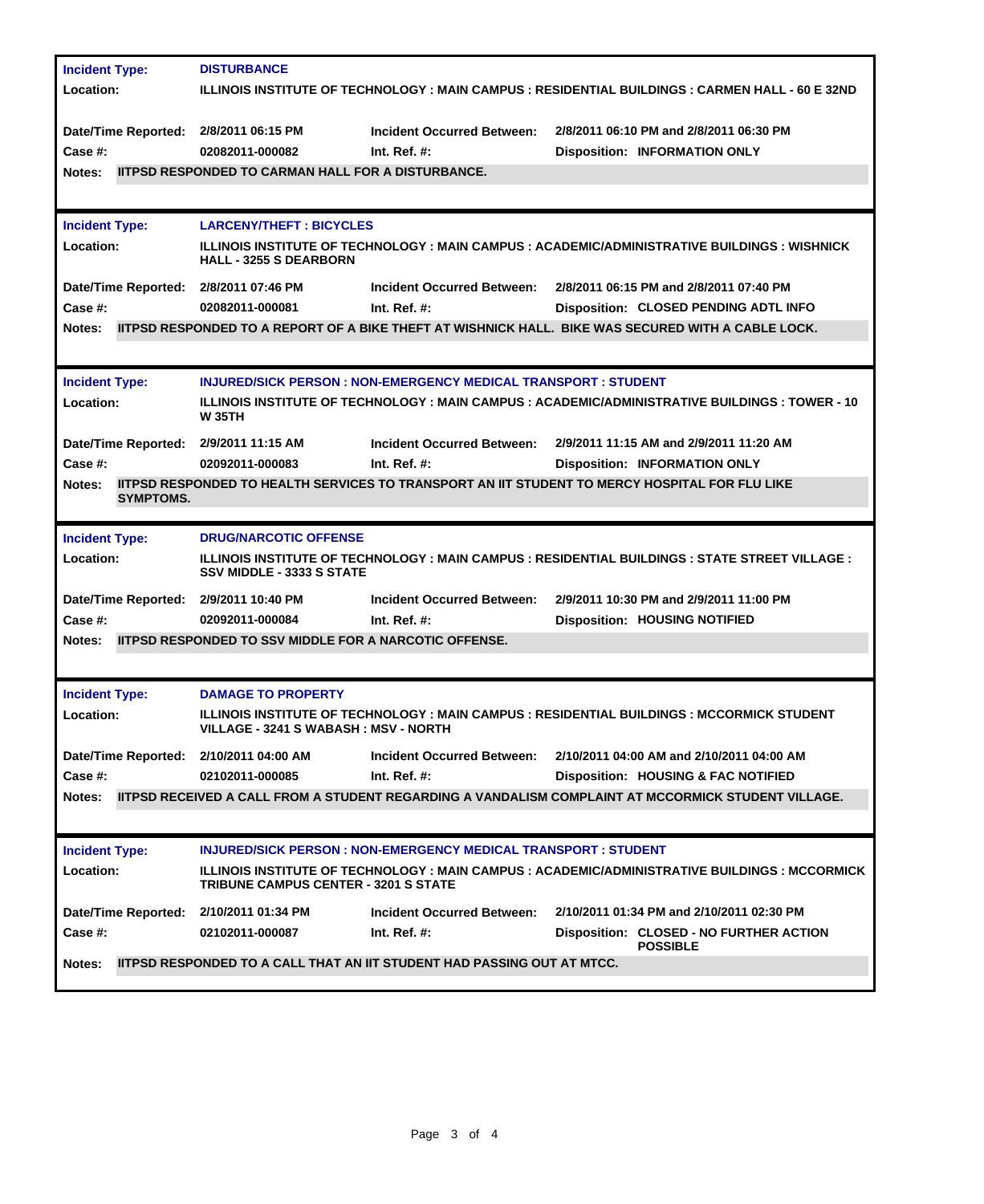| <b>Incident Type:</b><br><b>Location:</b>                                             | <b>DISTURBANCE</b><br>ILLINOIS INSTITUTE OF TECHNOLOGY : MAIN CAMPUS : RESIDENTIAL BUILDINGS : CARMEN HALL - 60 E 32ND                                                                                                                                                    |
|---------------------------------------------------------------------------------------|---------------------------------------------------------------------------------------------------------------------------------------------------------------------------------------------------------------------------------------------------------------------------|
| Date/Time Reported: 2/8/2011 06:15 PM<br>Case #:<br>Notes:                            | <b>Incident Occurred Between:</b><br>2/8/2011 06:10 PM and 2/8/2011 06:30 PM<br>02082011-000082<br>Int. Ref. $#$ :<br><b>Disposition: INFORMATION ONLY</b><br><b>IITPSD RESPONDED TO CARMAN HALL FOR A DISTURBANCE.</b>                                                   |
| <b>Incident Type:</b><br><b>Location:</b>                                             | <b>LARCENY/THEFT: BICYCLES</b><br>ILLINOIS INSTITUTE OF TECHNOLOGY : MAIN CAMPUS : ACADEMIC/ADMINISTRATIVE BUILDINGS : WISHNICK<br><b>HALL - 3255 S DEARBORN</b>                                                                                                          |
| Date/Time Reported: 2/8/2011 07:46 PM<br>Case #:<br><b>Notes:</b>                     | 2/8/2011 06:15 PM and 2/8/2011 07:40 PM<br><b>Incident Occurred Between:</b><br>02082011-000081<br>Int. Ref. $#$ :<br>Disposition: CLOSED PENDING ADTL INFO<br><b>IITPSD RESPONDED TO A REPORT OF A BIKE THEFT AT WISHNICK HALL. BIKE WAS SECURED WITH A CABLE LOCK.</b>  |
| <b>Incident Type:</b><br><b>Location:</b>                                             | <b>INJURED/SICK PERSON : NON-EMERGENCY MEDICAL TRANSPORT : STUDENT</b><br>ILLINOIS INSTITUTE OF TECHNOLOGY : MAIN CAMPUS : ACADEMIC/ADMINISTRATIVE BUILDINGS : TOWER - 10<br><b>W35TH</b>                                                                                 |
| Date/Time Reported: 2/9/2011 11:15 AM<br>Case #:<br><b>Notes:</b><br><b>SYMPTOMS.</b> | 2/9/2011 11:15 AM and 2/9/2011 11:20 AM<br><b>Incident Occurred Between:</b><br>02092011-000083<br>Int. Ref. $#$ :<br><b>Disposition: INFORMATION ONLY</b><br><b>IITPSD RESPONDED TO HEALTH SERVICES TO TRANSPORT AN IIT STUDENT TO MERCY HOSPITAL FOR FLU LIKE</b>       |
| <b>Incident Type:</b><br>Location:                                                    | <b>DRUG/NARCOTIC OFFENSE</b><br><u> ILLINOIS INSTITUTE OF TECHNOLOGY : MAIN CAMPUS : RESIDENTIAL BUILDINGS : STATE STREET VILLAGE :</u><br><b>SSV MIDDLE - 3333 S STATE</b>                                                                                               |
| Date/Time Reported: 2/9/2011 10:40 PM<br>Case #:<br><b>Notes:</b>                     | 2/9/2011 10:30 PM and 2/9/2011 11:00 PM<br><b>Incident Occurred Between:</b><br>Int. Ref. $#$ :<br><b>Disposition: HOUSING NOTIFIED</b><br>02092011-000084<br><b>IITPSD RESPONDED TO SSV MIDDLE FOR A NARCOTIC OFFENSE.</b>                                               |
| <b>Incident Type:</b><br><b>Location:</b>                                             | <b>DAMAGE TO PROPERTY</b><br>ILLINOIS INSTITUTE OF TECHNOLOGY : MAIN CAMPUS : RESIDENTIAL BUILDINGS : MCCORMICK STUDENT<br>VILLAGE - 3241 S WABASH : MSV - NORTH                                                                                                          |
| Date/Time Reported: 2/10/2011 04:00 AM<br>Case #:<br><b>Notes:</b>                    | <b>Incident Occurred Between:</b><br>2/10/2011 04:00 AM and 2/10/2011 04:00 AM<br>02102011-000085<br>Int. Ref. $#$ :<br>Disposition: HOUSING & FAC NOTIFIED<br><b>IITPSD RECEIVED A CALL FROM A STUDENT REGARDING A VANDALISM COMPLAINT AT MCCORMICK STUDENT VILLAGE.</b> |
| <b>Incident Type:</b><br><b>Location:</b>                                             | <b>INJURED/SICK PERSON : NON-EMERGENCY MEDICAL TRANSPORT : STUDENT</b><br>ILLINOIS INSTITUTE OF TECHNOLOGY : MAIN CAMPUS : ACADEMIC/ADMINISTRATIVE BUILDINGS : MCCORMICK<br><b>TRIBUNE CAMPUS CENTER - 3201 S STATE</b>                                                   |
| Date/Time Reported: 2/10/2011 01:34 PM<br>Case #:<br>Notes:                           | 2/10/2011 01:34 PM and 2/10/2011 02:30 PM<br><b>Incident Occurred Between:</b><br>02102011-000087<br>Int. Ref. $#$ :<br>Disposition: CLOSED - NO FURTHER ACTION<br><b>POSSIBLE</b><br><b>IITPSD RESPONDED TO A CALL THAT AN IIT STUDENT HAD PASSING OUT AT MTCC.</b>      |